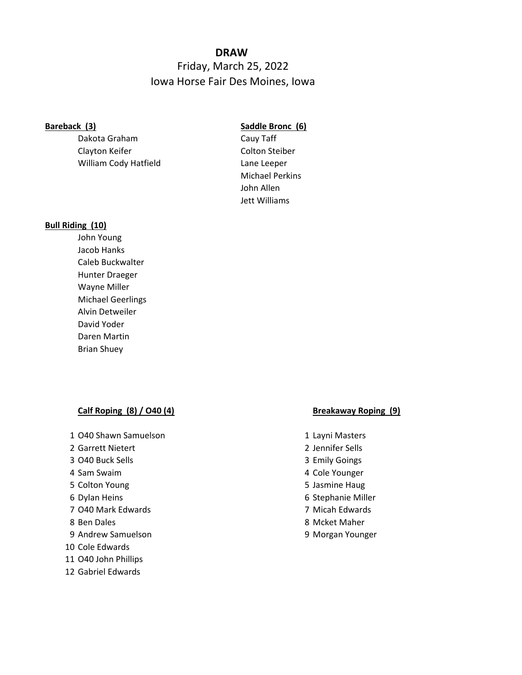## **DRAW**

# Friday, March 25, 2022 Iowa Horse Fair Des Moines, Iowa

Dakota Graham Cauy Taff Clayton Keifer Clayton Steiber William Cody Hatfield Lane Leeper

## **Bareback (3) Saddle Bronc (6)**

Michael Perkins John Allen Jett Williams

### **Bull Riding (10)**

John Young Jacob Hanks Caleb Buckwalter Hunter Draeger Wayne Miller Michael Geerlings Alvin Detweiler David Yoder Daren Martin Brian Shuey

## **Calf Roping (8) / O40 (4) Breakaway Roping (9)**

- 1 O40 Shawn Samuelson 1 Layni Masters
- 2 Garrett Nietert 2 Jennifer Sells
- 3 O40 Buck Sells 3 Emily Goings
- 
- 
- 
- 7 O40 Mark Edwards 7 Micah Edwards
- 
- 9 Andrew Samuelson 9 Morgan Younger
- 10 Cole Edwards
- 11 O40 John Phillips
- 12 Gabriel Edwards

- 
- 
- 
- 4 Sam Swaim 4 Cole Younger
- 5 Colton Young 5 Jasmine Haug
- 6 Dylan Heins 6 Stephanie Miller
	-
- 8 Ben Dales 8 Mcket Maher
	-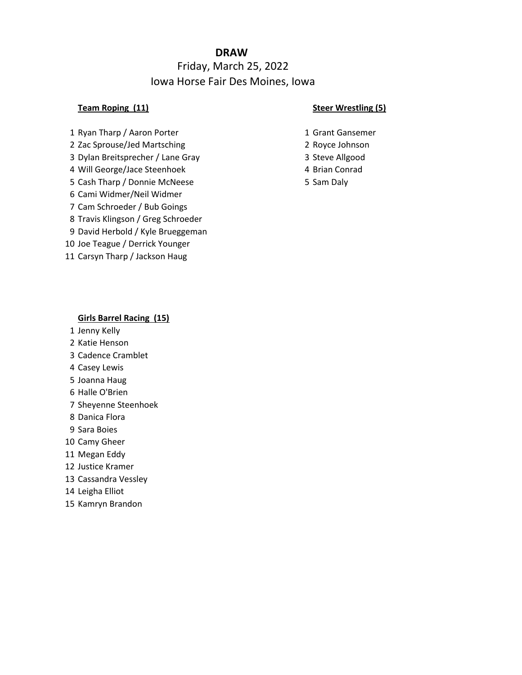# **DRAW**

# Friday, March 25, 2022 Iowa Horse Fair Des Moines, Iowa

- 1 Ryan Tharp / Aaron Porter 1 Grant Gansemer
- 2 Zac Sprouse/Jed Martsching 2 2 Royce Johnson
- 3 Dylan Breitsprecher / Lane Gray 3 Steve Allgood
- 4 Will George/Jace Steenhoek 4 Brian Conrad
- 5 Cash Tharp / Donnie McNeese 5 Sam Daly
- Cami Widmer/Neil Widmer
- Cam Schroeder / Bub Goings
- Travis Klingson / Greg Schroeder
- David Herbold / Kyle Brueggeman
- Joe Teague / Derrick Younger
- Carsyn Tharp / Jackson Haug

## **Team Roping (11) Steer Wrestling (5)**

- 
- 
- 
- 
- 

## **Girls Barrel Racing (15)**

- Jenny Kelly
- Katie Henson
- Cadence Cramblet
- Casey Lewis
- Joanna Haug
- Halle O'Brien
- Sheyenne Steenhoek
- Danica Flora
- Sara Boies
- Camy Gheer
- Megan Eddy
- Justice Kramer
- Cassandra Vessley
- Leigha Elliot
- Kamryn Brandon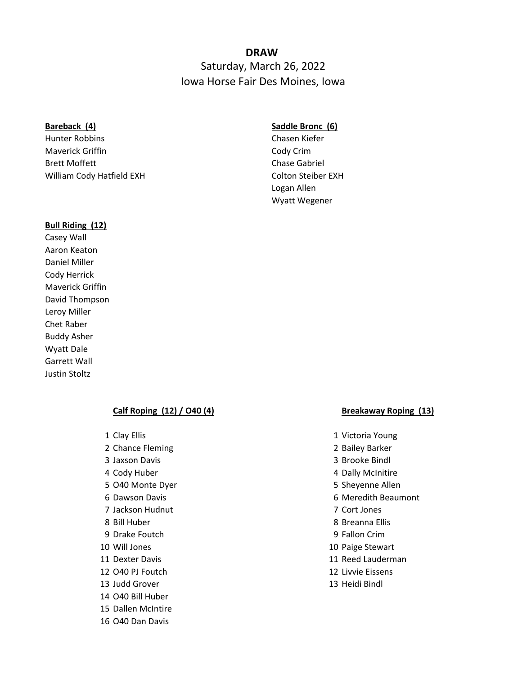# **DRAW**  Saturday, March 26, 2022 Iowa Horse Fair Des Moines, Iowa

Hunter Robbins Chasen Kiefer Maverick Griffin **Cody Crim** Cody Crim Brett Moffett **Chase Gabriel** William Cody Hatfield EXH Colton Steiber EXH

## **Bareback (4) Saddle Bronc (6)**

Logan Allen Wyatt Wegener

### **Bull Riding (12)**

Casey Wall Aaron Keaton Daniel Miller Cody Herrick Maverick Griffin David Thompson Leroy Miller Chet Raber Buddy Asher Wyatt Dale Garrett Wall Justin Stoltz

### **Calf Roping (12) / O40 (4) Breakaway Roping (13)**

- 
- 2 Chance Fleming 2 Bailey Barker
- 3 Jaxson Davis 3 Brooke Bindl
- 
- 
- 
- 7 Jackson Hudnut 7 Cort Jones
- 
- 9 Drake Foutch 9 Fallon Crim
- 
- 
- 12 O40 PJ Foutch 12 Livvie Eissens
- 13 Judd Grover 13 Heidi Bindl
- 14 O40 Bill Huber
- 15 Dallen McIntire
- 16 O40 Dan Davis

- 1 Clay Ellis 1 Victoria Young
	-
	-
- 4 Cody Huber 4 Dally McInitire
- 5 O40 Monte Dyer 5 Sheyenne Allen
- 6 Dawson Davis 6 Meredith Beaumont
	-
- 8 Bill Huber 8 Breanna Ellis
	-
- 10 Will Jones 10 Paige Stewart
- 11 Dexter Davis 11 Reed Lauderman
	-
	-